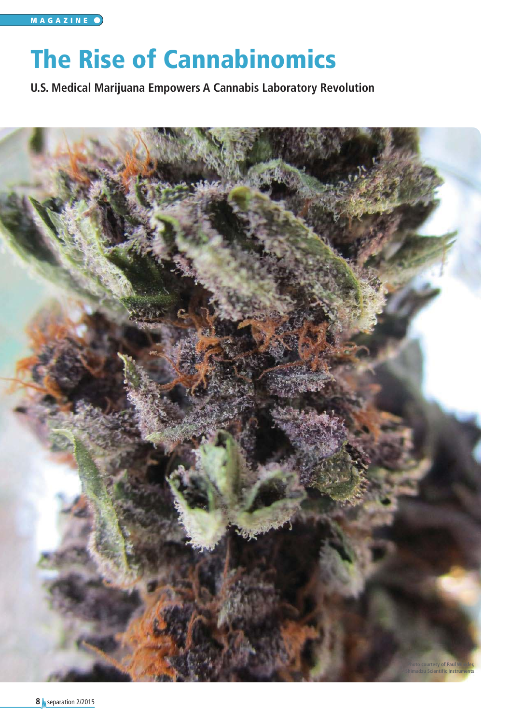# The Rise of Cannabinomics

**U.S. Medical Marijuana Empowers A Cannabis Laboratory Revolution**

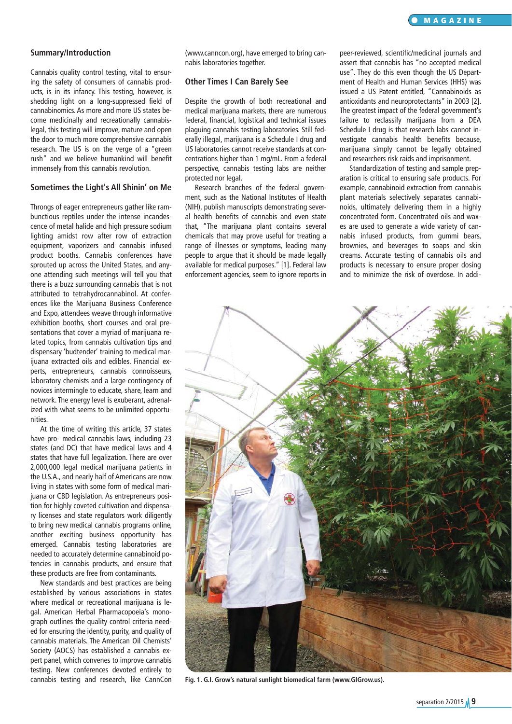## **Summary/Introduction**

Cannabis quality control testing, vital to ensuring the safety of consumers of cannabis products, is in its infancy. This testing, however, is shedding light on a long-suppressed field of cannabinomics. As more and more US states become medicinally and recreationally cannabislegal, this testing will improve, mature and open the door to much more comprehensive cannabis research. The US is on the verge of a "green rush" and we believe humankind will benefit immensely from this cannabis revolution.

#### **Sometimes the Light's All Shinin' on Me**

Throngs of eager entrepreneurs gather like rambunctious reptiles under the intense incandescence of metal halide and high pressure sodium lighting amidst row after row of extraction equipment, vaporizers and cannabis infused product booths. Cannabis conferences have sprouted up across the United States, and anyone attending such meetings will tell you that there is a buzz surrounding cannabis that is not attributed to tetrahydrocannabinol. At conferences like the Marijuana Business Conference and Expo, attendees weave through informative exhibition booths, short courses and oral presentations that cover a myriad of marijuana related topics, from cannabis cultivation tips and dispensary 'budtender' training to medical marijuana extracted oils and edibles. Financial experts, entrepreneurs, cannabis connoisseurs, laboratory chemists and a large contingency of novices intermingle to educate, share, learn and network. The energy level is exuberant, adrenalized with what seems to be unlimited opportunities.

At the time of writing this article, 37 states have pro- medical cannabis laws, including 23 states (and DC) that have medical laws and 4 states that have full legalization. There are over 2,000,000 legal medical marijuana patients in the U.S.A., and nearly half of Americans are now living in states with some form of medical marijuana or CBD legislation. As entrepreneurs position for highly coveted cultivation and dispensary licenses and state regulators work diligently to bring new medical cannabis programs online, another exciting business opportunity has emerged. Cannabis testing laboratories are needed to accurately determine cannabinoid potencies in cannabis products, and ensure that these products are free from contaminants.

New standards and best practices are being established by various associations in states where medical or recreational marijuana is legal. American Herbal Pharmacopoeia's monograph outlines the quality control criteria needed for ensuring the identity, purity, and quality of cannabis materials. The American Oil Chemists' Society (AOCS) has established a cannabis expert panel, which convenes to improve cannabis testing. New conferences devoted entirely to

(www.canncon.org), have emerged to bring cannabis laboratories together.

## **Other Times I Can Barely See**

Despite the growth of both recreational and medical marijuana markets, there are numerous federal, financial, logistical and technical issues plaguing cannabis testing laboratories. Still federally illegal, marijuana is a Schedule I drug and US laboratories cannot receive standards at concentrations higher than 1 mg/mL. From a federal perspective, cannabis testing labs are neither protected nor legal.

Research branches of the federal government, such as the National Institutes of Health (NIH), publish manuscripts demonstrating several health benefits of cannabis and even state that, "The marijuana plant contains several chemicals that may prove useful for treating a range of illnesses or symptoms, leading many people to argue that it should be made legally available for medical purposes." [1]. Federal law enforcement agencies, seem to ignore reports in peer-reviewed, scientific/medicinal journals and assert that cannabis has "no accepted medical use". They do this even though the US Department of Health and Human Services (HHS) was issued a US Patent entitled, "Cannabinoids as antioxidants and neuroprotectants" in 2003 [2]. The greatest impact of the federal government's failure to reclassify marijuana from a DEA Schedule I drug is that research labs cannot investigate cannabis health benefits because, marijuana simply cannot be legally obtained and researchers risk raids and imprisonment.

Standardization of testing and sample preparation is critical to ensuring safe products. For example, cannabinoid extraction from cannabis plant materials selectively separates cannabinoids, ultimately delivering them in a highly concentrated form. Concentrated oils and waxes are used to generate a wide variety of cannabis infused products, from gummi bears, brownies, and beverages to soaps and skin creams. Accurate testing of cannabis oils and products is necessary to ensure proper dosing and to minimize the risk of overdose. In addi-



cannabis testing and research, like CannCon **Fig. 1. G.I. Grow's natural sunlight biomedical farm (www.GIGrow.us).**